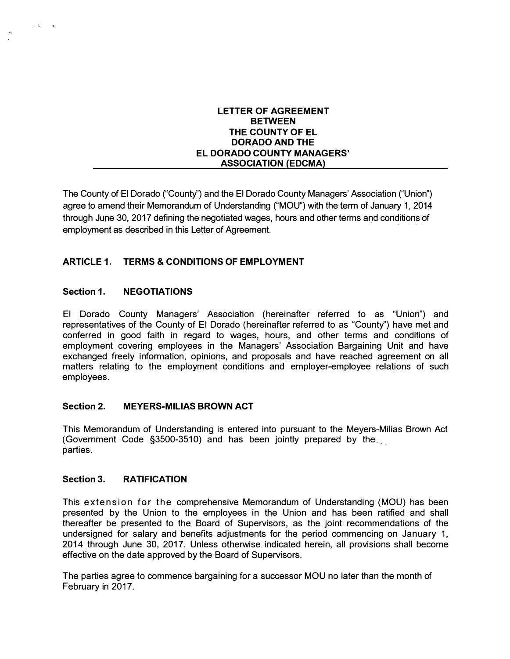#### **LETTER OF AGREEMENT BETWEEN THE COUNTY OF EL DORADO AND THE EL DORADO COUNTY MANAGERS' ASSOCIATION (EDCMA)**

The County of El Dorado ("County") and the El Dorado County Managers' Association ("Union") agree to amend their Memorandum of Understanding ("MOU") with the term of January 1, 2014 through June 30, 2017 defining the negotiated wages, hours and other terms and conditions of employment as described in this Letter of Agreement.

# **ARTICLE 1. TERMS & CONDITIONS OF EMPLOYMENT**

# **Section 1. NEGOTIATIONS**

 $\sim 3$  ,  $\sim 3$ 

 $\mathcal{L}_{\mathbf{c}}$ 

El Dorado County Managers' Association (hereinafter referred to as "Union") and representatives of the County of El Dorado (hereinafter referred to as "County") have met and conferred in good faith in regard to wages, hours, and other terms and conditions of employment covering employees in the Managers' Association Bargaining Unit and have exchanged freely information, opinions, and proposals and have reached agreement on all matters relating to the employment conditions and employer-employee relations of such employees.

## **Section 2. MEYERS-MILIAS BROWN ACT**

This Memorandum of Understanding is entered into pursuant to the Meyers-Milias Brown Act (Government Code §3500-3510) and has been jointly prepared by the parties.

## **Section 3. RATIFICATION**

This extension for the comprehensive Memorandum of Understanding (MOU) has been presented by the Union to the employees in the Union and has been ratified and shall thereafter be presented to the Board of Supervisors, as the joint recommendations of the undersigned for salary and benefits adjustments for the period commencing on January 1, 2014 through June 30, 2017. Unless otherwise indicated herein, all provisions shall become effective on the date approved by the Board of Supervisors.

The parties agree to commence bargaining for a successor MOU no later than the month of February in 2017.